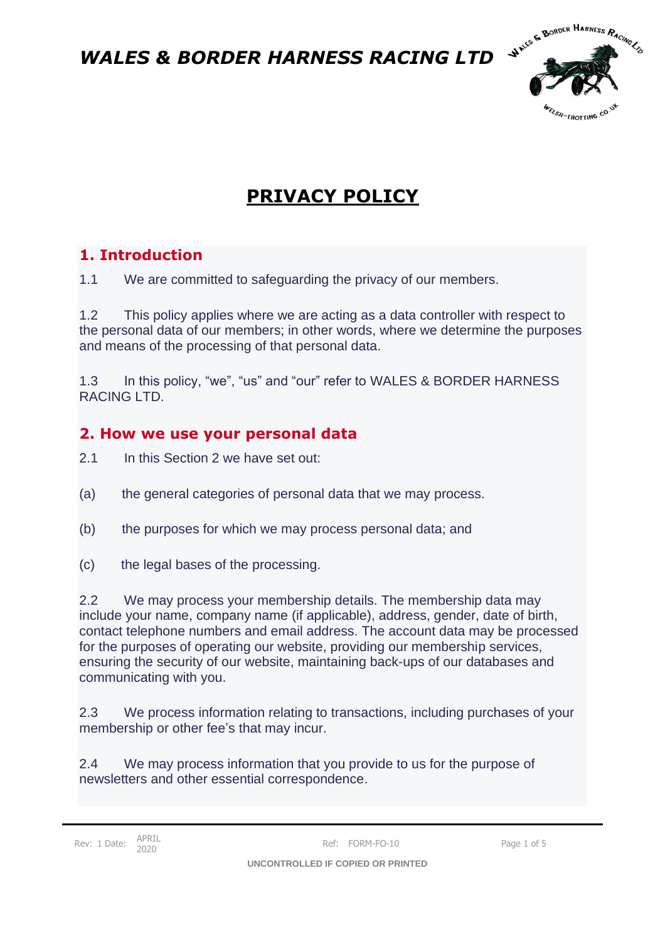

# **PRIVACY POLICY**

### **1. Introduction**

1.1 We are committed to safeguarding the privacy of our members.

1.2 This policy applies where we are acting as a data controller with respect to the personal data of our members; in other words, where we determine the purposes and means of the processing of that personal data.

1.3 In this policy, "we", "us" and "our" refer to WALES & BORDER HARNESS RACING LTD.

#### **2. How we use your personal data**

- 2.1 In this Section 2 we have set out:
- (a) the general categories of personal data that we may process.
- (b) the purposes for which we may process personal data; and
- (c) the legal bases of the processing.

2.2 We may process your membership details. The membership data may include your name, company name (if applicable), address, gender, date of birth, contact telephone numbers and email address. The account data may be processed for the purposes of operating our website, providing our membership services, ensuring the security of our website, maintaining back-ups of our databases and communicating with you.

2.3 We process information relating to transactions, including purchases of your membership or other fee's that may incur.

2.4 We may process information that you provide to us for the purpose of newsletters and other essential correspondence.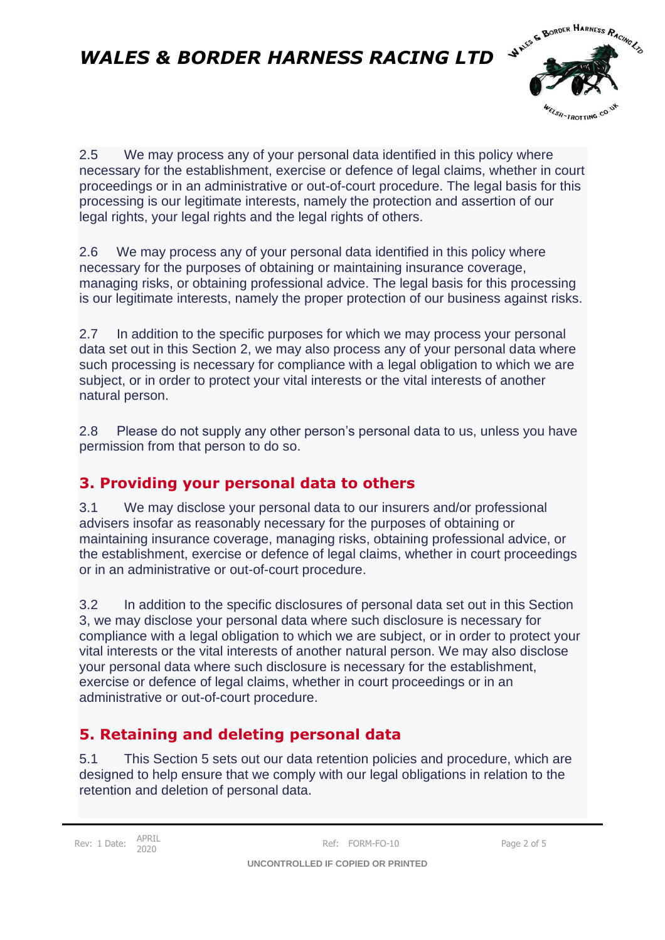

2.5 We may process any of your personal data identified in this policy where necessary for the establishment, exercise or defence of legal claims, whether in court proceedings or in an administrative or out-of-court procedure. The legal basis for this processing is our legitimate interests, namely the protection and assertion of our legal rights, your legal rights and the legal rights of others.

2.6 We may process any of your personal data identified in this policy where necessary for the purposes of obtaining or maintaining insurance coverage, managing risks, or obtaining professional advice. The legal basis for this processing is our legitimate interests, namely the proper protection of our business against risks.

2.7 In addition to the specific purposes for which we may process your personal data set out in this Section 2, we may also process any of your personal data where such processing is necessary for compliance with a legal obligation to which we are subject, or in order to protect your vital interests or the vital interests of another natural person.

2.8 Please do not supply any other person's personal data to us, unless you have permission from that person to do so.

#### **3. Providing your personal data to others**

3.1 We may disclose your personal data to our insurers and/or professional advisers insofar as reasonably necessary for the purposes of obtaining or maintaining insurance coverage, managing risks, obtaining professional advice, or the establishment, exercise or defence of legal claims, whether in court proceedings or in an administrative or out-of-court procedure.

3.2 In addition to the specific disclosures of personal data set out in this Section 3, we may disclose your personal data where such disclosure is necessary for compliance with a legal obligation to which we are subject, or in order to protect your vital interests or the vital interests of another natural person. We may also disclose your personal data where such disclosure is necessary for the establishment, exercise or defence of legal claims, whether in court proceedings or in an administrative or out-of-court procedure.

### **5. Retaining and deleting personal data**

5.1 This Section 5 sets out our data retention policies and procedure, which are designed to help ensure that we comply with our legal obligations in relation to the retention and deletion of personal data.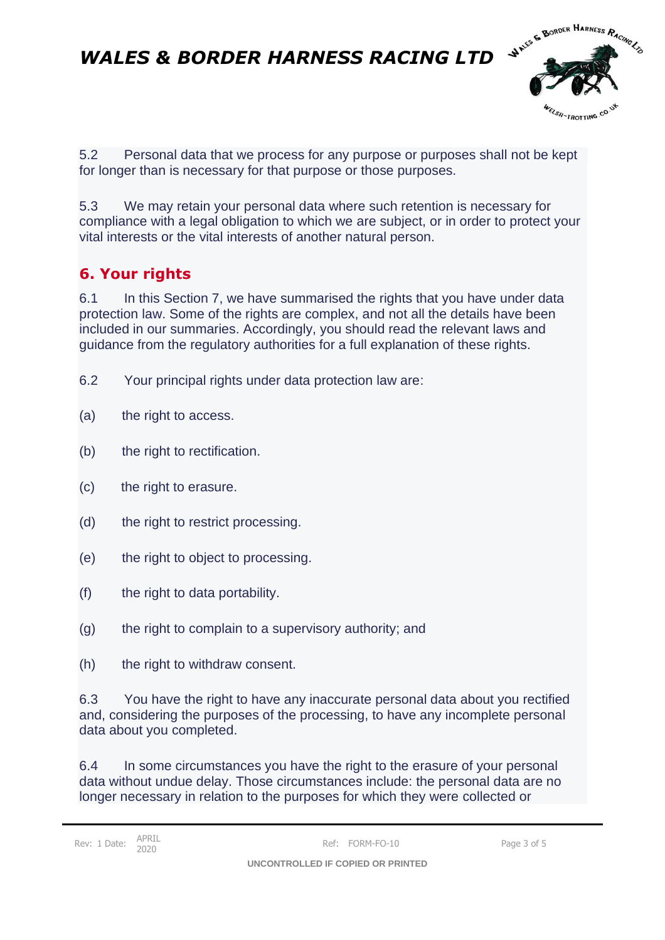

5.2 Personal data that we process for any purpose or purposes shall not be kept for longer than is necessary for that purpose or those purposes.

5.3 We may retain your personal data where such retention is necessary for compliance with a legal obligation to which we are subject, or in order to protect your vital interests or the vital interests of another natural person.

### **6. Your rights**

6.1 In this Section 7, we have summarised the rights that you have under data protection law. Some of the rights are complex, and not all the details have been included in our summaries. Accordingly, you should read the relevant laws and guidance from the regulatory authorities for a full explanation of these rights.

- 6.2 Your principal rights under data protection law are:
- (a) the right to access.
- (b) the right to rectification.
- (c) the right to erasure.
- (d) the right to restrict processing.
- (e) the right to object to processing.
- (f) the right to data portability.
- (g) the right to complain to a supervisory authority; and
- (h) the right to withdraw consent.

6.3 You have the right to have any inaccurate personal data about you rectified and, considering the purposes of the processing, to have any incomplete personal data about you completed.

6.4 In some circumstances you have the right to the erasure of your personal data without undue delay. Those circumstances include: the personal data are no longer necessary in relation to the purposes for which they were collected or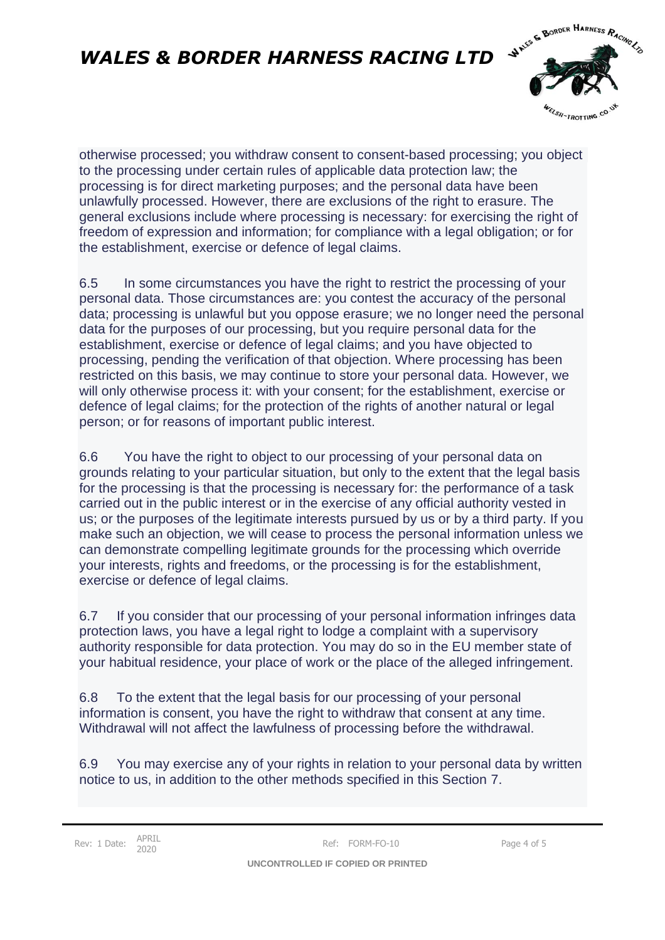

otherwise processed; you withdraw consent to consent-based processing; you object to the processing under certain rules of applicable data protection law; the processing is for direct marketing purposes; and the personal data have been unlawfully processed. However, there are exclusions of the right to erasure. The general exclusions include where processing is necessary: for exercising the right of freedom of expression and information; for compliance with a legal obligation; or for the establishment, exercise or defence of legal claims.

6.5 In some circumstances you have the right to restrict the processing of your personal data. Those circumstances are: you contest the accuracy of the personal data; processing is unlawful but you oppose erasure; we no longer need the personal data for the purposes of our processing, but you require personal data for the establishment, exercise or defence of legal claims; and you have objected to processing, pending the verification of that objection. Where processing has been restricted on this basis, we may continue to store your personal data. However, we will only otherwise process it: with your consent; for the establishment, exercise or defence of legal claims; for the protection of the rights of another natural or legal person; or for reasons of important public interest.

6.6 You have the right to object to our processing of your personal data on grounds relating to your particular situation, but only to the extent that the legal basis for the processing is that the processing is necessary for: the performance of a task carried out in the public interest or in the exercise of any official authority vested in us; or the purposes of the legitimate interests pursued by us or by a third party. If you make such an objection, we will cease to process the personal information unless we can demonstrate compelling legitimate grounds for the processing which override your interests, rights and freedoms, or the processing is for the establishment, exercise or defence of legal claims.

6.7 If you consider that our processing of your personal information infringes data protection laws, you have a legal right to lodge a complaint with a supervisory authority responsible for data protection. You may do so in the EU member state of your habitual residence, your place of work or the place of the alleged infringement.

6.8 To the extent that the legal basis for our processing of your personal information is consent, you have the right to withdraw that consent at any time. Withdrawal will not affect the lawfulness of processing before the withdrawal.

6.9 You may exercise any of your rights in relation to your personal data by written notice to us, in addition to the other methods specified in this Section 7.